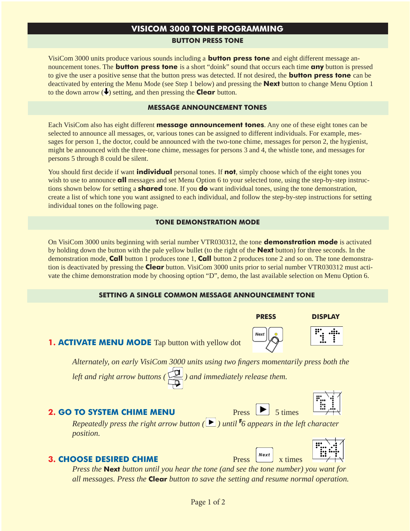### **VISICOM 3000 TONE PROGRAMMING**

#### **BUTTON PRESS TONE**

VisiCom 3000 units produce various sounds including a **button press tone** and eight different message announcement tones. The **button press tone** is a short "doink" sound that occurs each time **any** button is pressed to give the user a positive sense that the button press was detected. If not desired, the **button press tone** can be deactivated by entering the Menu Mode (see Step 1 below) and pressing the **Next** button to change Menu Option 1 to the down arrow  $(\rightarrow)$  setting, and then pressing the **Clear** button.

#### **MESSAGE ANNOUNCEMENT TONES**

Each VisiCom also has eight different **message announcement tones**. Any one of these eight tones can be selected to announce all messages, or, various tones can be assigned to different individuals. For example, messages for person 1, the doctor, could be announced with the two-tone chime, messages for person 2, the hygienist, might be announced with the three-tone chime, messages for persons 3 and 4, the whistle tone, and messages for persons 5 through 8 could be silent.

You should first decide if want **individual** personal tones. If **not**, simply choose which of the eight tones you wish to use to announce **all** messages and set Menu Option 6 to your selected tone, using the step-by-step instructions shown below for setting a **shared** tone. If you **do** want individual tones, using the tone demonstration, create a list of which tone you want assigned to each individual, and follow the step-by-step instructions for setting individual tones on the following page.

#### **TONE DEMONSTRATION MODE**

On VisiCom 3000 units beginning with serial number VTR030312, the tone **demonstration mode** is activated by holding down the button with the pale yellow bullet (to the right of the **Next** button) for three seconds. In the demonstration mode, **Call** button 1 produces tone 1, **Call** button 2 produces tone 2 and so on. The tone demonstration is deactivated by pressing the **Clear** button. VisiCom 3000 units prior to serial number VTR030312 must activate the chime demonstration mode by choosing option "D", demo, the last available selection on Menu Option 6.

#### **SETTING A SINGLE COMMON MESSAGE ANNOUNCEMENT TONE**